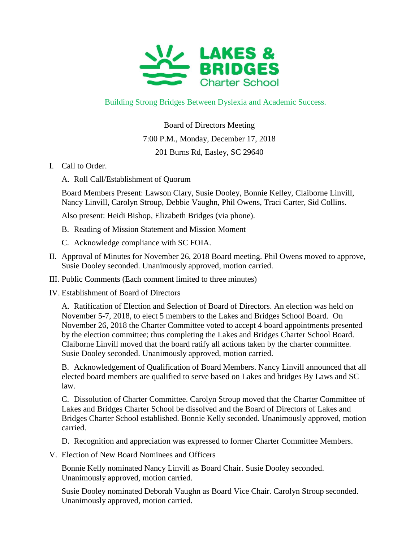

## Building Strong Bridges Between Dyslexia and Academic Success.

Board of Directors Meeting 7:00 P.M., Monday, December 17, 2018 201 Burns Rd, Easley, SC 29640

- I. Call to Order.
	- A. Roll Call/Establishment of Quorum

Board Members Present: Lawson Clary, Susie Dooley, Bonnie Kelley, Claiborne Linvill, Nancy Linvill, Carolyn Stroup, Debbie Vaughn, Phil Owens, Traci Carter, Sid Collins.

Also present: Heidi Bishop, Elizabeth Bridges (via phone).

- B. Reading of Mission Statement and Mission Moment
- C. Acknowledge compliance with SC FOIA.
- II. Approval of Minutes for November 26, 2018 Board meeting. Phil Owens moved to approve, Susie Dooley seconded. Unanimously approved, motion carried.
- III. Public Comments (Each comment limited to three minutes)
- IV. Establishment of Board of Directors

A. Ratification of Election and Selection of Board of Directors. An election was held on November 5-7, 2018, to elect 5 members to the Lakes and Bridges School Board. On November 26, 2018 the Charter Committee voted to accept 4 board appointments presented by the election committee; thus completing the Lakes and Bridges Charter School Board. Claiborne Linvill moved that the board ratify all actions taken by the charter committee. Susie Dooley seconded. Unanimously approved, motion carried.

B. Acknowledgement of Qualification of Board Members. Nancy Linvill announced that all elected board members are qualified to serve based on Lakes and bridges By Laws and SC law.

C. Dissolution of Charter Committee. Carolyn Stroup moved that the Charter Committee of Lakes and Bridges Charter School be dissolved and the Board of Directors of Lakes and Bridges Charter School established. Bonnie Kelly seconded. Unanimously approved, motion carried.

- D. Recognition and appreciation was expressed to former Charter Committee Members.
- V. Election of New Board Nominees and Officers

Bonnie Kelly nominated Nancy Linvill as Board Chair. Susie Dooley seconded. Unanimously approved, motion carried.

Susie Dooley nominated Deborah Vaughn as Board Vice Chair. Carolyn Stroup seconded. Unanimously approved, motion carried.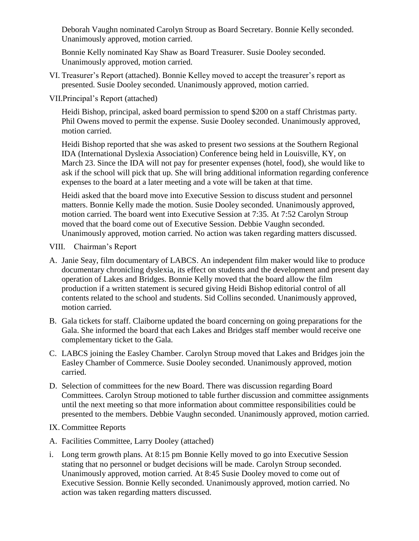Deborah Vaughn nominated Carolyn Stroup as Board Secretary. Bonnie Kelly seconded. Unanimously approved, motion carried.

Bonnie Kelly nominated Kay Shaw as Board Treasurer. Susie Dooley seconded. Unanimously approved, motion carried.

- VI. Treasurer's Report (attached). Bonnie Kelley moved to accept the treasurer's report as presented. Susie Dooley seconded. Unanimously approved, motion carried.
- VII.Principal's Report (attached)

Heidi Bishop, principal, asked board permission to spend \$200 on a staff Christmas party. Phil Owens moved to permit the expense. Susie Dooley seconded. Unanimously approved, motion carried.

Heidi Bishop reported that she was asked to present two sessions at the Southern Regional IDA (International Dyslexia Association) Conference being held in Louisville, KY, on March 23. Since the IDA will not pay for presenter expenses (hotel, food), she would like to ask if the school will pick that up. She will bring additional information regarding conference expenses to the board at a later meeting and a vote will be taken at that time.

Heidi asked that the board move into Executive Session to discuss student and personnel matters. Bonnie Kelly made the motion. Susie Dooley seconded. Unanimously approved, motion carried. The board went into Executive Session at 7:35. At 7:52 Carolyn Stroup moved that the board come out of Executive Session. Debbie Vaughn seconded. Unanimously approved, motion carried. No action was taken regarding matters discussed.

- VIII. Chairman's Report
- A. Janie Seay, film documentary of LABCS. An independent film maker would like to produce documentary chronicling dyslexia, its effect on students and the development and present day operation of Lakes and Bridges. Bonnie Kelly moved that the board allow the film production if a written statement is secured giving Heidi Bishop editorial control of all contents related to the school and students. Sid Collins seconded. Unanimously approved, motion carried.
- B. Gala tickets for staff. Claiborne updated the board concerning on going preparations for the Gala. She informed the board that each Lakes and Bridges staff member would receive one complementary ticket to the Gala.
- C. LABCS joining the Easley Chamber. Carolyn Stroup moved that Lakes and Bridges join the Easley Chamber of Commerce. Susie Dooley seconded. Unanimously approved, motion carried.
- D. Selection of committees for the new Board. There was discussion regarding Board Committees. Carolyn Stroup motioned to table further discussion and committee assignments until the next meeting so that more information about committee responsibilities could be presented to the members. Debbie Vaughn seconded. Unanimously approved, motion carried.
- IX. Committee Reports
- A. Facilities Committee, Larry Dooley (attached)
- i. Long term growth plans. At 8:15 pm Bonnie Kelly moved to go into Executive Session stating that no personnel or budget decisions will be made. Carolyn Stroup seconded. Unanimously approved, motion carried. At 8:45 Susie Dooley moved to come out of Executive Session. Bonnie Kelly seconded. Unanimously approved, motion carried. No action was taken regarding matters discussed.